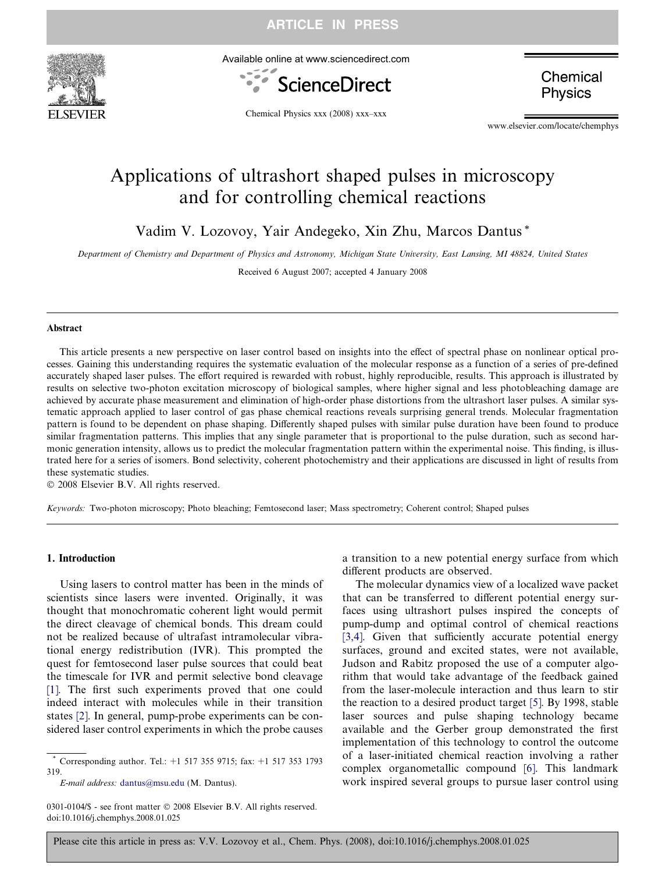

ARTICLE IN PRESS

Available online at www.sciencedirect.com



Chemical **Physics** 

Chemical Physics xxx (2008) xxx–xxx

www.elsevier.com/locate/chemphys

# Applications of ultrashort shaped pulses in microscopy and for controlling chemical reactions

Vadim V. Lozovoy, Yair Andegeko, Xin Zhu, Marcos Dantus \*

Department of Chemistry and Department of Physics and Astronomy, Michigan State University, East Lansing, MI 48824, United States

Received 6 August 2007; accepted 4 January 2008

### Abstract

This article presents a new perspective on laser control based on insights into the effect of spectral phase on nonlinear optical processes. Gaining this understanding requires the systematic evaluation of the molecular response as a function of a series of pre-defined accurately shaped laser pulses. The effort required is rewarded with robust, highly reproducible, results. This approach is illustrated by results on selective two-photon excitation microscopy of biological samples, where higher signal and less photobleaching damage are achieved by accurate phase measurement and elimination of high-order phase distortions from the ultrashort laser pulses. A similar systematic approach applied to laser control of gas phase chemical reactions reveals surprising general trends. Molecular fragmentation pattern is found to be dependent on phase shaping. Differently shaped pulses with similar pulse duration have been found to produce similar fragmentation patterns. This implies that any single parameter that is proportional to the pulse duration, such as second harmonic generation intensity, allows us to predict the molecular fragmentation pattern within the experimental noise. This finding, is illustrated here for a series of isomers. Bond selectivity, coherent photochemistry and their applications are discussed in light of results from these systematic studies.

© 2008 Elsevier B.V. All rights reserved.

Keywords: Two-photon microscopy; Photo bleaching; Femtosecond laser; Mass spectrometry; Coherent control; Shaped pulses

## 1. Introduction

Using lasers to control matter has been in the minds of scientists since lasers were invented. Originally, it was thought that monochromatic coherent light would permit the direct cleavage of chemical bonds. This dream could not be realized because of ultrafast intramolecular vibrational energy redistribution (IVR). This prompted the quest for femtosecond laser pulse sources that could beat the timescale for IVR and permit selective bond cleavage [\[1\].](#page-6-0) The first such experiments proved that one could indeed interact with molecules while in their transition states [\[2\].](#page-6-0) In general, pump-probe experiments can be considered laser control experiments in which the probe causes

\* Corresponding author. Tel.: +1 517 355 9715; fax: +1 517 353 1793 319.

E-mail address: [dantus@msu.edu](mailto:dantus@msu.edu) (M. Dantus).

0301-0104/\$ - see front matter © 2008 Elsevier B.V. All rights reserved. doi:10.1016/j.chemphys.2008.01.025

a transition to a new potential energy surface from which different products are observed.

The molecular dynamics view of a localized wave packet that can be transferred to different potential energy surfaces using ultrashort pulses inspired the concepts of pump-dump and optimal control of chemical reactions [\[3,4\].](#page-6-0) Given that sufficiently accurate potential energy surfaces, ground and excited states, were not available, Judson and Rabitz proposed the use of a computer algorithm that would take advantage of the feedback gained from the laser-molecule interaction and thus learn to stir the reaction to a desired product target [\[5\]](#page-6-0). By 1998, stable laser sources and pulse shaping technology became available and the Gerber group demonstrated the first implementation of this technology to control the outcome of a laser-initiated chemical reaction involving a rather complex organometallic compound [\[6\].](#page-6-0) This landmark work inspired several groups to pursue laser control using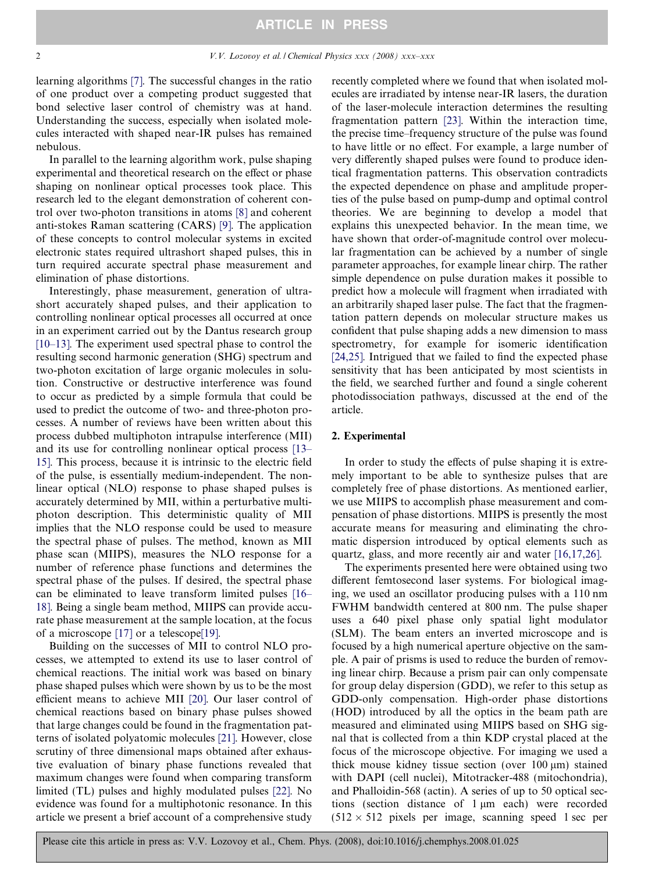learning algorithms [\[7\]](#page-6-0). The successful changes in the ratio of one product over a competing product suggested that bond selective laser control of chemistry was at hand. Understanding the success, especially when isolated molecules interacted with shaped near-IR pulses has remained nebulous.

In parallel to the learning algorithm work, pulse shaping experimental and theoretical research on the effect or phase shaping on nonlinear optical processes took place. This research led to the elegant demonstration of coherent control over two-photon transitions in atoms [\[8\]](#page-6-0) and coherent anti-stokes Raman scattering (CARS) [\[9\]](#page-6-0). The application of these concepts to control molecular systems in excited electronic states required ultrashort shaped pulses, this in turn required accurate spectral phase measurement and elimination of phase distortions.

Interestingly, phase measurement, generation of ultrashort accurately shaped pulses, and their application to controlling nonlinear optical processes all occurred at once in an experiment carried out by the Dantus research group [\[10–13\]](#page-6-0). The experiment used spectral phase to control the resulting second harmonic generation (SHG) spectrum and two-photon excitation of large organic molecules in solution. Constructive or destructive interference was found to occur as predicted by a simple formula that could be used to predict the outcome of two- and three-photon processes. A number of reviews have been written about this process dubbed multiphoton intrapulse interference (MII) and its use for controlling nonlinear optical process [\[13–](#page-6-0) [15\]](#page-6-0). This process, because it is intrinsic to the electric field of the pulse, is essentially medium-independent. The nonlinear optical (NLO) response to phase shaped pulses is accurately determined by MII, within a perturbative multiphoton description. This deterministic quality of MII implies that the NLO response could be used to measure the spectral phase of pulses. The method, known as MII phase scan (MIIPS), measures the NLO response for a number of reference phase functions and determines the spectral phase of the pulses. If desired, the spectral phase can be eliminated to leave transform limited pulses [\[16–](#page-6-0) [18\]](#page-6-0). Being a single beam method, MIIPS can provide accurate phase measurement at the sample location, at the focus of a microscope [\[17\]](#page-6-0) or a telescope[\[19\]](#page-6-0).

Building on the successes of MII to control NLO processes, we attempted to extend its use to laser control of chemical reactions. The initial work was based on binary phase shaped pulses which were shown by us to be the most efficient means to achieve MII [\[20\]](#page-6-0). Our laser control of chemical reactions based on binary phase pulses showed that large changes could be found in the fragmentation patterns of isolated polyatomic molecules [\[21\].](#page-6-0) However, close scrutiny of three dimensional maps obtained after exhaustive evaluation of binary phase functions revealed that maximum changes were found when comparing transform limited (TL) pulses and highly modulated pulses [\[22\].](#page-6-0) No evidence was found for a multiphotonic resonance. In this article we present a brief account of a comprehensive study recently completed where we found that when isolated molecules are irradiated by intense near-IR lasers, the duration of the laser-molecule interaction determines the resulting fragmentation pattern [\[23\].](#page-6-0) Within the interaction time, the precise time–frequency structure of the pulse was found to have little or no effect. For example, a large number of very differently shaped pulses were found to produce identical fragmentation patterns. This observation contradicts the expected dependence on phase and amplitude properties of the pulse based on pump-dump and optimal control theories. We are beginning to develop a model that explains this unexpected behavior. In the mean time, we have shown that order-of-magnitude control over molecular fragmentation can be achieved by a number of single parameter approaches, for example linear chirp. The rather simple dependence on pulse duration makes it possible to predict how a molecule will fragment when irradiated with an arbitrarily shaped laser pulse. The fact that the fragmentation pattern depends on molecular structure makes us confident that pulse shaping adds a new dimension to mass spectrometry, for example for isomeric identification [\[24,25\].](#page-6-0) Intrigued that we failed to find the expected phase sensitivity that has been anticipated by most scientists in the field, we searched further and found a single coherent photodissociation pathways, discussed at the end of the article.

## 2. Experimental

In order to study the effects of pulse shaping it is extremely important to be able to synthesize pulses that are completely free of phase distortions. As mentioned earlier, we use MIIPS to accomplish phase measurement and compensation of phase distortions. MIIPS is presently the most accurate means for measuring and eliminating the chromatic dispersion introduced by optical elements such as quartz, glass, and more recently air and water [\[16,17,26\]](#page-6-0).

The experiments presented here were obtained using two different femtosecond laser systems. For biological imaging, we used an oscillator producing pulses with a 110 nm FWHM bandwidth centered at 800 nm. The pulse shaper uses a 640 pixel phase only spatial light modulator (SLM). The beam enters an inverted microscope and is focused by a high numerical aperture objective on the sample. A pair of prisms is used to reduce the burden of removing linear chirp. Because a prism pair can only compensate for group delay dispersion (GDD), we refer to this setup as GDD-only compensation. High-order phase distortions (HOD) introduced by all the optics in the beam path are measured and eliminated using MIIPS based on SHG signal that is collected from a thin KDP crystal placed at the focus of the microscope objective. For imaging we used a thick mouse kidney tissue section (over  $100 \mu m$ ) stained with DAPI (cell nuclei), Mitotracker-488 (mitochondria), and Phalloidin-568 (actin). A series of up to 50 optical sections (section distance of  $1 \mu m$  each) were recorded  $(512 \times 512)$  pixels per image, scanning speed 1 sec per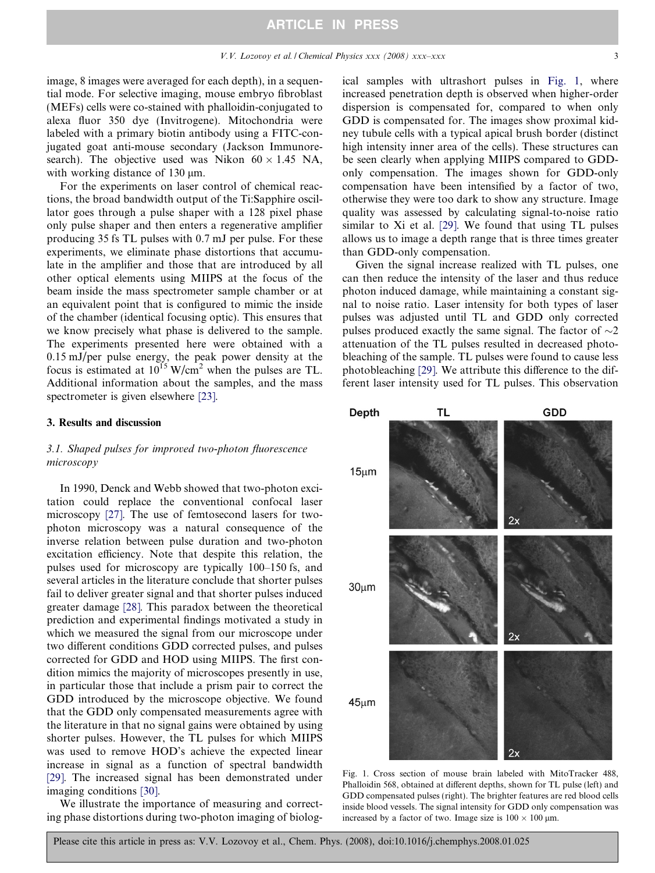image, 8 images were averaged for each depth), in a sequential mode. For selective imaging, mouse embryo fibroblast (MEFs) cells were co-stained with phalloidin-conjugated to alexa fluor 350 dye (Invitrogene). Mitochondria were labeled with a primary biotin antibody using a FITC-conjugated goat anti-mouse secondary (Jackson Immunoresearch). The objective used was Nikon  $60 \times 1.45$  NA, with working distance of  $130 \mu m$ .

For the experiments on laser control of chemical reactions, the broad bandwidth output of the Ti:Sapphire oscillator goes through a pulse shaper with a 128 pixel phase only pulse shaper and then enters a regenerative amplifier producing 35 fs TL pulses with 0.7 mJ per pulse. For these experiments, we eliminate phase distortions that accumulate in the amplifier and those that are introduced by all other optical elements using MIIPS at the focus of the beam inside the mass spectrometer sample chamber or at an equivalent point that is configured to mimic the inside of the chamber (identical focusing optic). This ensures that we know precisely what phase is delivered to the sample. The experiments presented here were obtained with a 0.15 mJ/per pulse energy, the peak power density at the focus is estimated at  $10^{15}$  W/cm<sup>2</sup> when the pulses are TL. Additional information about the samples, and the mass spectrometer is given elsewhere [\[23\].](#page-6-0)

## 3. Results and discussion

# 3.1. Shaped pulses for improved two-photon fluorescence microscopy

In 1990, Denck and Webb showed that two-photon excitation could replace the conventional confocal laser microscopy [\[27\]](#page-6-0). The use of femtosecond lasers for twophoton microscopy was a natural consequence of the inverse relation between pulse duration and two-photon excitation efficiency. Note that despite this relation, the pulses used for microscopy are typically 100–150 fs, and several articles in the literature conclude that shorter pulses fail to deliver greater signal and that shorter pulses induced greater damage [\[28\]](#page-6-0). This paradox between the theoretical prediction and experimental findings motivated a study in which we measured the signal from our microscope under two different conditions GDD corrected pulses, and pulses corrected for GDD and HOD using MIIPS. The first condition mimics the majority of microscopes presently in use, in particular those that include a prism pair to correct the GDD introduced by the microscope objective. We found that the GDD only compensated measurements agree with the literature in that no signal gains were obtained by using shorter pulses. However, the TL pulses for which MIIPS was used to remove HOD's achieve the expected linear increase in signal as a function of spectral bandwidth [\[29\].](#page-6-0) The increased signal has been demonstrated under imaging conditions [\[30\]](#page-6-0).

We illustrate the importance of measuring and correcting phase distortions during two-photon imaging of biological samples with ultrashort pulses in Fig. 1, where increased penetration depth is observed when higher-order dispersion is compensated for, compared to when only GDD is compensated for. The images show proximal kidney tubule cells with a typical apical brush border (distinct high intensity inner area of the cells). These structures can be seen clearly when applying MIIPS compared to GDDonly compensation. The images shown for GDD-only compensation have been intensified by a factor of two, otherwise they were too dark to show any structure. Image quality was assessed by calculating signal-to-noise ratio similar to Xi et al. [\[29\]](#page-6-0). We found that using TL pulses allows us to image a depth range that is three times greater than GDD-only compensation.

Given the signal increase realized with TL pulses, one can then reduce the intensity of the laser and thus reduce photon induced damage, while maintaining a constant signal to noise ratio. Laser intensity for both types of laser pulses was adjusted until TL and GDD only corrected pulses produced exactly the same signal. The factor of  $\sim$ 2 attenuation of the TL pulses resulted in decreased photobleaching of the sample. TL pulses were found to cause less photobleaching [\[29\].](#page-6-0) We attribute this difference to the different laser intensity used for TL pulses. This observation



Fig. 1. Cross section of mouse brain labeled with MitoTracker 488, Phalloidin 568, obtained at different depths, shown for TL pulse (left) and GDD compensated pulses (right). The brighter features are red blood cells inside blood vessels. The signal intensity for GDD only compensation was increased by a factor of two. Image size is  $100 \times 100 \mu$ m.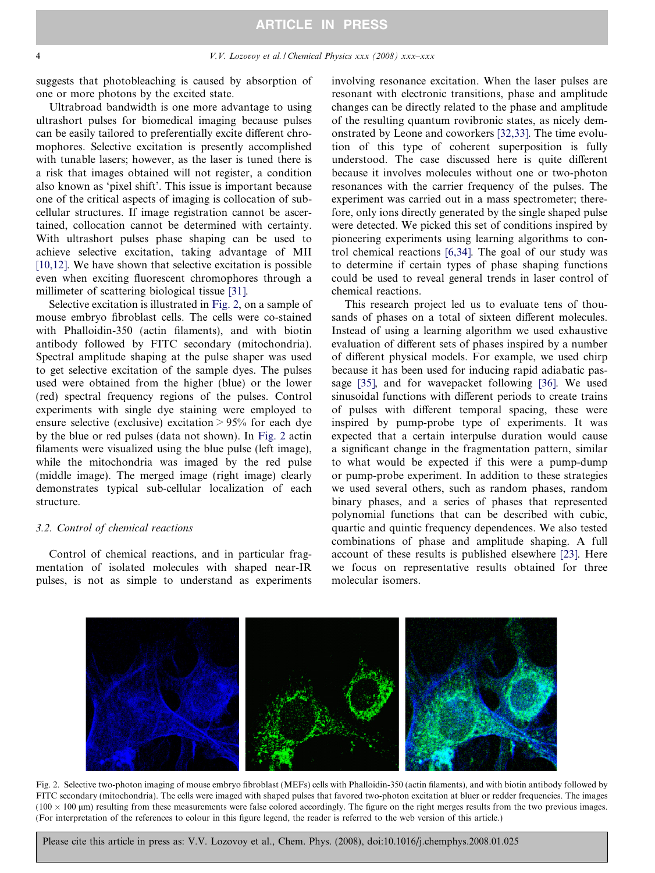suggests that photobleaching is caused by absorption of one or more photons by the excited state.

Ultrabroad bandwidth is one more advantage to using ultrashort pulses for biomedical imaging because pulses can be easily tailored to preferentially excite different chromophores. Selective excitation is presently accomplished with tunable lasers; however, as the laser is tuned there is a risk that images obtained will not register, a condition also known as 'pixel shift'. This issue is important because one of the critical aspects of imaging is collocation of subcellular structures. If image registration cannot be ascertained, collocation cannot be determined with certainty. With ultrashort pulses phase shaping can be used to achieve selective excitation, taking advantage of MII [\[10,12\].](#page-6-0) We have shown that selective excitation is possible even when exciting fluorescent chromophores through a millimeter of scattering biological tissue [\[31\]](#page-6-0).

Selective excitation is illustrated in Fig. 2, on a sample of mouse embryo fibroblast cells. The cells were co-stained with Phalloidin-350 (actin filaments), and with biotin antibody followed by FITC secondary (mitochondria). Spectral amplitude shaping at the pulse shaper was used to get selective excitation of the sample dyes. The pulses used were obtained from the higher (blue) or the lower (red) spectral frequency regions of the pulses. Control experiments with single dye staining were employed to ensure selective (exclusive) excitation  $> 95\%$  for each dye by the blue or red pulses (data not shown). In Fig. 2 actin filaments were visualized using the blue pulse (left image), while the mitochondria was imaged by the red pulse (middle image). The merged image (right image) clearly demonstrates typical sub-cellular localization of each structure.

## 3.2. Control of chemical reactions

Control of chemical reactions, and in particular fragmentation of isolated molecules with shaped near-IR pulses, is not as simple to understand as experiments involving resonance excitation. When the laser pulses are resonant with electronic transitions, phase and amplitude changes can be directly related to the phase and amplitude of the resulting quantum rovibronic states, as nicely demonstrated by Leone and coworkers [\[32,33\]](#page-6-0). The time evolution of this type of coherent superposition is fully understood. The case discussed here is quite different because it involves molecules without one or two-photon resonances with the carrier frequency of the pulses. The experiment was carried out in a mass spectrometer; therefore, only ions directly generated by the single shaped pulse were detected. We picked this set of conditions inspired by pioneering experiments using learning algorithms to control chemical reactions [\[6,34\]](#page-6-0). The goal of our study was to determine if certain types of phase shaping functions could be used to reveal general trends in laser control of chemical reactions.

This research project led us to evaluate tens of thousands of phases on a total of sixteen different molecules. Instead of using a learning algorithm we used exhaustive evaluation of different sets of phases inspired by a number of different physical models. For example, we used chirp because it has been used for inducing rapid adiabatic passage [\[35\],](#page-6-0) and for wavepacket following [\[36\]](#page-6-0). We used sinusoidal functions with different periods to create trains of pulses with different temporal spacing, these were inspired by pump-probe type of experiments. It was expected that a certain interpulse duration would cause a significant change in the fragmentation pattern, similar to what would be expected if this were a pump-dump or pump-probe experiment. In addition to these strategies we used several others, such as random phases, random binary phases, and a series of phases that represented polynomial functions that can be described with cubic, quartic and quintic frequency dependences. We also tested combinations of phase and amplitude shaping. A full account of these results is published elsewhere [\[23\]](#page-6-0). Here we focus on representative results obtained for three molecular isomers.



Fig. 2. Selective two-photon imaging of mouse embryo fibroblast (MEFs) cells with Phalloidin-350 (actin filaments), and with biotin antibody followed by FITC secondary (mitochondria). The cells were imaged with shaped pulses that favored two-photon excitation at bluer or redder frequencies. The images  $(100 \times 100 \,\mu\text{m})$  resulting from these measurements were false colored accordingly. The figure on the right merges results from the two previous images. (For interpretation of the references to colour in this figure legend, the reader is referred to the web version of this article.)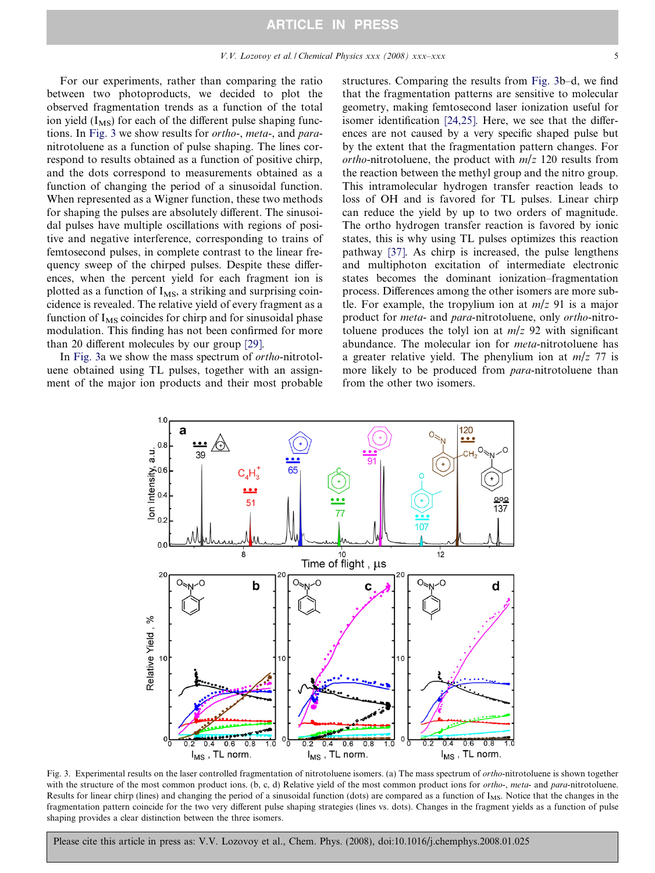<span id="page-4-0"></span>For our experiments, rather than comparing the ratio between two photoproducts, we decided to plot the observed fragmentation trends as a function of the total ion yield  $(I_{MS})$  for each of the different pulse shaping functions. In Fig. 3 we show results for ortho-, meta-, and paranitrotoluene as a function of pulse shaping. The lines correspond to results obtained as a function of positive chirp, and the dots correspond to measurements obtained as a function of changing the period of a sinusoidal function. When represented as a Wigner function, these two methods for shaping the pulses are absolutely different. The sinusoidal pulses have multiple oscillations with regions of positive and negative interference, corresponding to trains of femtosecond pulses, in complete contrast to the linear frequency sweep of the chirped pulses. Despite these differences, when the percent yield for each fragment ion is plotted as a function of  $I_{MS}$ , a striking and surprising coincidence is revealed. The relative yield of every fragment as a function of  $I_{MS}$  coincides for chirp and for sinusoidal phase modulation. This finding has not been confirmed for more than 20 different molecules by our group [\[29\].](#page-6-0)

In Fig. 3a we show the mass spectrum of ortho-nitrotoluene obtained using TL pulses, together with an assignment of the major ion products and their most probable structures. Comparing the results from Fig. 3b–d, we find that the fragmentation patterns are sensitive to molecular geometry, making femtosecond laser ionization useful for isomer identification [\[24,25\]](#page-6-0). Here, we see that the differences are not caused by a very specific shaped pulse but by the extent that the fragmentation pattern changes. For *ortho*-nitrotoluene, the product with  $m/z$  120 results from the reaction between the methyl group and the nitro group. This intramolecular hydrogen transfer reaction leads to loss of OH and is favored for TL pulses. Linear chirp can reduce the yield by up to two orders of magnitude. The ortho hydrogen transfer reaction is favored by ionic states, this is why using TL pulses optimizes this reaction pathway [\[37\]](#page-6-0). As chirp is increased, the pulse lengthens and multiphoton excitation of intermediate electronic states becomes the dominant ionization–fragmentation process. Differences among the other isomers are more subtle. For example, the tropylium ion at  $m/z$  91 is a major product for meta- and para-nitrotoluene, only ortho-nitrotoluene produces the tolyl ion at  $m/z$  92 with significant abundance. The molecular ion for meta-nitrotoluene has a greater relative yield. The phenylium ion at  $m/z$  77 is more likely to be produced from *para*-nitrotoluene than from the other two isomers.



Fig. 3. Experimental results on the laser controlled fragmentation of nitrotoluene isomers. (a) The mass spectrum of *ortho*-nitrotoluene is shown together with the structure of the most common product ions. (b, c, d) Relative yield of the most common product ions for *ortho-, meta-* and *para-*nitrotoluene. Results for linear chirp (lines) and changing the period of a sinusoidal function (dots) are compared as a function of I<sub>MS</sub>. Notice that the changes in the fragmentation pattern coincide for the two very different pulse shaping strategies (lines vs. dots). Changes in the fragment yields as a function of pulse shaping provides a clear distinction between the three isomers.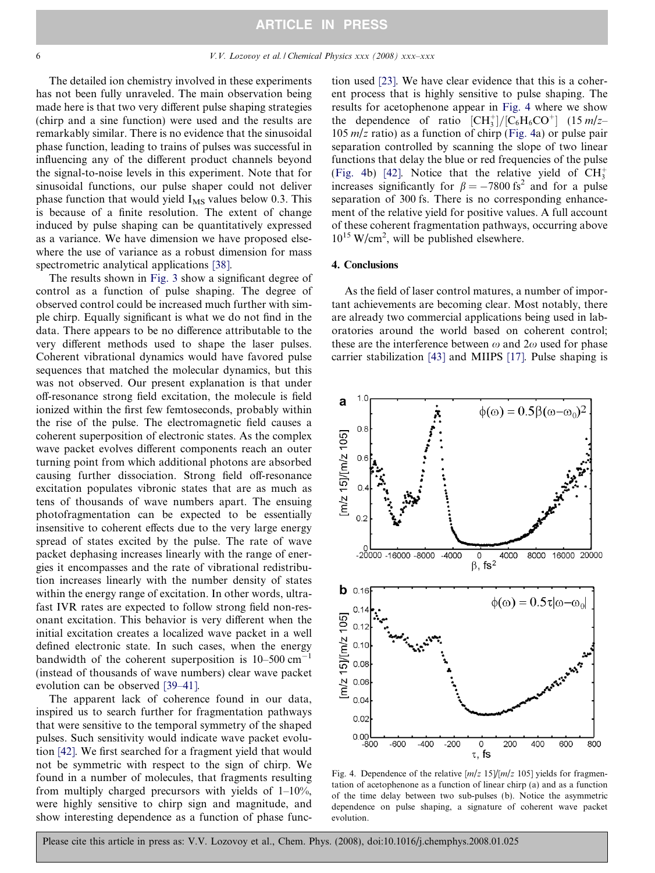The detailed ion chemistry involved in these experiments has not been fully unraveled. The main observation being made here is that two very different pulse shaping strategies (chirp and a sine function) were used and the results are remarkably similar. There is no evidence that the sinusoidal phase function, leading to trains of pulses was successful in influencing any of the different product channels beyond the signal-to-noise levels in this experiment. Note that for sinusoidal functions, our pulse shaper could not deliver phase function that would yield  $I_{MS}$  values below 0.3. This is because of a finite resolution. The extent of change induced by pulse shaping can be quantitatively expressed as a variance. We have dimension we have proposed elsewhere the use of variance as a robust dimension for mass spectrometric analytical applications [\[38\].](#page-6-0)

The results shown in [Fig. 3](#page-4-0) show a significant degree of control as a function of pulse shaping. The degree of observed control could be increased much further with simple chirp. Equally significant is what we do not find in the data. There appears to be no difference attributable to the very different methods used to shape the laser pulses. Coherent vibrational dynamics would have favored pulse sequences that matched the molecular dynamics, but this was not observed. Our present explanation is that under off-resonance strong field excitation, the molecule is field ionized within the first few femtoseconds, probably within the rise of the pulse. The electromagnetic field causes a coherent superposition of electronic states. As the complex wave packet evolves different components reach an outer turning point from which additional photons are absorbed causing further dissociation. Strong field off-resonance excitation populates vibronic states that are as much as tens of thousands of wave numbers apart. The ensuing photofragmentation can be expected to be essentially insensitive to coherent effects due to the very large energy spread of states excited by the pulse. The rate of wave packet dephasing increases linearly with the range of energies it encompasses and the rate of vibrational redistribution increases linearly with the number density of states within the energy range of excitation. In other words, ultrafast IVR rates are expected to follow strong field non-resonant excitation. This behavior is very different when the initial excitation creates a localized wave packet in a well defined electronic state. In such cases, when the energy bandwidth of the coherent superposition is  $10-500 \text{ cm}^{-1}$ (instead of thousands of wave numbers) clear wave packet evolution can be observed [\[39–41\]](#page-6-0).

The apparent lack of coherence found in our data, inspired us to search further for fragmentation pathways that were sensitive to the temporal symmetry of the shaped pulses. Such sensitivity would indicate wave packet evolution [\[42\].](#page-6-0) We first searched for a fragment yield that would not be symmetric with respect to the sign of chirp. We found in a number of molecules, that fragments resulting from multiply charged precursors with yields of  $1-10\%$ , were highly sensitive to chirp sign and magnitude, and show interesting dependence as a function of phase function used [\[23\].](#page-6-0) We have clear evidence that this is a coherent process that is highly sensitive to pulse shaping. The results for acetophenone appear in Fig. 4 where we show the dependence of ratio  $[CH_3^+]/[C_6H_6CO^+]$  (15 m/z–  $105 \frac{m}{z}$  ratio) as a function of chirp (Fig. 4a) or pulse pair separation controlled by scanning the slope of two linear functions that delay the blue or red frequencies of the pulse (Fig. 4b) [\[42\]](#page-6-0). Notice that the relative yield of  $CH_3^+$ increases significantly for  $\beta = -7800$  fs<sup>2</sup> and for a pulse separation of 300 fs. There is no corresponding enhancement of the relative yield for positive values. A full account of these coherent fragmentation pathways, occurring above 10<sup>15</sup> W/cm<sup>2</sup>, will be published elsewhere.

# 4. Conclusions

As the field of laser control matures, a number of important achievements are becoming clear. Most notably, there are already two commercial applications being used in laboratories around the world based on coherent control; these are the interference between  $\omega$  and  $2\omega$  used for phase carrier stabilization [\[43\]](#page-6-0) and MIIPS [\[17\].](#page-6-0) Pulse shaping is



Fig. 4. Dependence of the relative  $[m/z \ 15]/[m/z \ 105]$  yields for fragmentation of acetophenone as a function of linear chirp (a) and as a function of the time delay between two sub-pulses (b). Notice the asymmetric dependence on pulse shaping, a signature of coherent wave packet evolution.